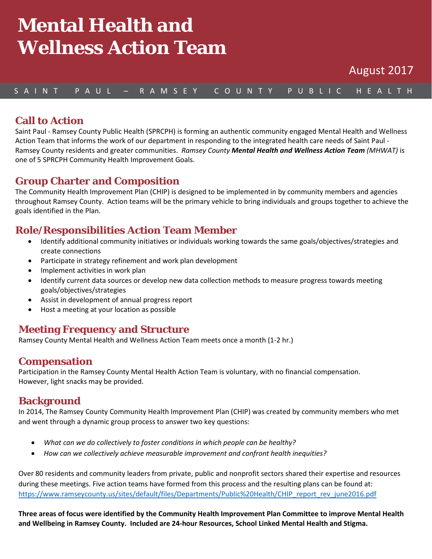# **Mental Health and Wellness Action Team**

August 2017

## S A I N T P A U L – R A M S E Y C O U N T Y P U B L I C H E A L T H

## **Call to Action**

Saint Paul - Ramsey County Public Health (SPRCPH) is forming an authentic community engaged Mental Health and Wellness Action Team that informs the work of our department in responding to the integrated health care needs of Saint Paul - Ramsey County residents and greater communities. *Ramsey County Mental Health and Wellness Action Team (MHWAT)* is one of 5 SPRCPH Community Health Improvement Goals.

## **Group Charter and Composition**

The Community Health Improvement Plan (CHIP) is designed to be implemented in by community members and agencies throughout Ramsey County. Action teams will be the primary vehicle to bring individuals and groups together to achieve the goals identified in the Plan.

## **Role/Responsibilities Action Team Member**

- Identify additional community initiatives or individuals working towards the same goals/objectives/strategies and create connections
- Participate in strategy refinement and work plan development
- Implement activities in work plan
- Identify current data sources or develop new data collection methods to measure progress towards meeting goals/objectives/strategies
- Assist in development of annual progress report
- Host a meeting at your location as possible

## **Meeting Frequency and Structure**

Ramsey County Mental Health and Wellness Action Team meets once a month (1-2 hr.)

## **Compensation**

Participation in the Ramsey County Mental Health Action Team is voluntary, with no financial compensation. However, light snacks may be provided.

## **Background**

In 2014, The Ramsey County Community Health Improvement Plan (CHIP) was created by community members who met and went through a dynamic group process to answer two key questions:

- *What can we do collectively to foster conditions in which people can be healthy?*
- *How can we collectively achieve measurable improvement and confront health inequities?*

Over 80 residents and community leaders from private, public and nonprofit sectors shared their expertise and resources during these meetings. Five action teams have formed from this process and the resulting plans can be found at: [https://www.ramseycounty.us/sites/default/files/Departments/Public%20Health/CHIP\\_report\\_rev\\_june2016.pdf](https://www.ramseycounty.us/sites/default/files/Departments/Public%20Health/CHIP_report_rev_june2016.pdf)

**Three areas of focus were identified by the Community Health Improvement Plan Committee to improve Mental Health and Wellbeing in Ramsey County. Included are 24-hour Resources, School Linked Mental Health and Stigma.**